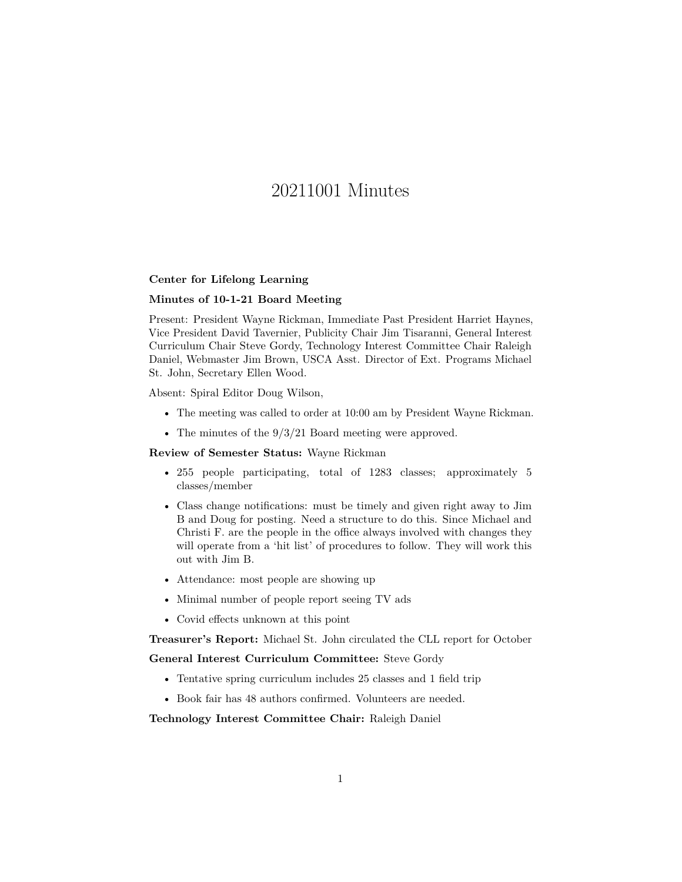# 20211001 Minutes

#### **Center for Lifelong Learning**

### **Minutes of 10-1-21 Board Meeting**

Present: President Wayne Rickman, Immediate Past President Harriet Haynes, Vice President David Tavernier, Publicity Chair Jim Tisaranni, General Interest Curriculum Chair Steve Gordy, Technology Interest Committee Chair Raleigh Daniel, Webmaster Jim Brown, USCA Asst. Director of Ext. Programs Michael St. John, Secretary Ellen Wood.

Absent: Spiral Editor Doug Wilson,

- The meeting was called to order at 10:00 am by President Wayne Rickman.
- The minutes of the  $9/3/21$  Board meeting were approved.

## **Review of Semester Status:** Wayne Rickman

- 255 people participating, total of 1283 classes; approximately 5 classes/member
- Class change notifications: must be timely and given right away to Jim B and Doug for posting. Need a structure to do this. Since Michael and Christi F. are the people in the office always involved with changes they will operate from a 'hit list' of procedures to follow. They will work this out with Jim B.
- Attendance: most people are showing up
- Minimal number of people report seeing TV ads
- Covid effects unknown at this point

**Treasurer's Report:** Michael St. John circulated the CLL report for October

#### **General Interest Curriculum Committee:** Steve Gordy

- Tentative spring curriculum includes 25 classes and 1 field trip
- Book fair has 48 authors confirmed. Volunteers are needed.

**Technology Interest Committee Chair:** Raleigh Daniel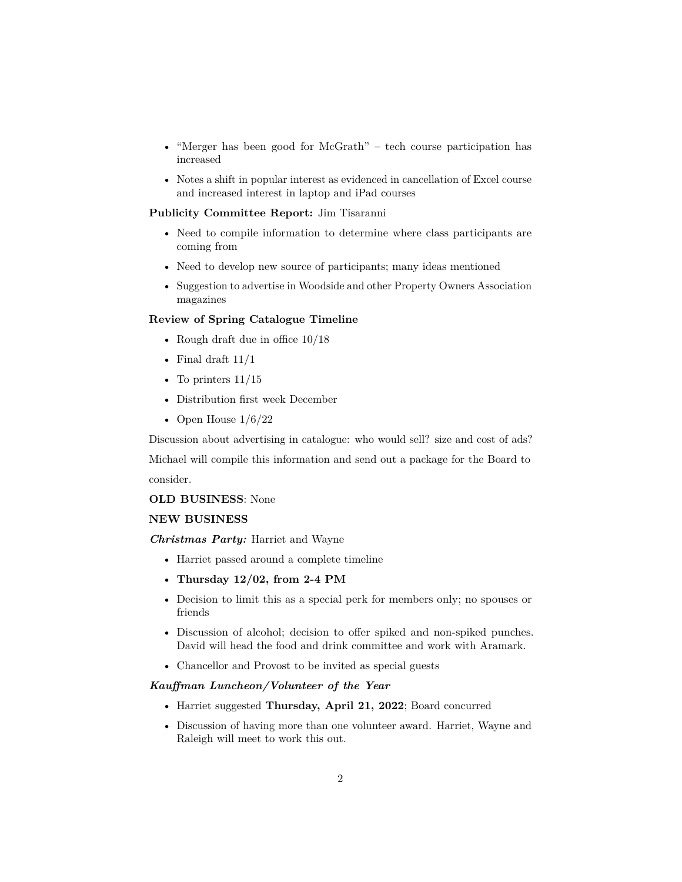- "Merger has been good for McGrath" tech course participation has increased
- Notes a shift in popular interest as evidenced in cancellation of Excel course and increased interest in laptop and iPad courses

#### **Publicity Committee Report:** Jim Tisaranni

- Need to compile information to determine where class participants are coming from
- Need to develop new source of participants; many ideas mentioned
- Suggestion to advertise in Woodside and other Property Owners Association magazines

### **Review of Spring Catalogue Timeline**

- Rough draft due in office  $10/18$
- Final draft  $11/1$
- To printers  $11/15$
- Distribution first week December
- Open House  $1/6/22$

Discussion about advertising in catalogue: who would sell? size and cost of ads?

Michael will compile this information and send out a package for the Board to consider.

#### **OLD BUSINESS**: None

## **NEW BUSINESS**

*Christmas Party:* Harriet and Wayne

- Harriet passed around a complete timeline
- **Thursday 12/02, from 2-4 PM**
- Decision to limit this as a special perk for members only; no spouses or friends
- Discussion of alcohol; decision to offer spiked and non-spiked punches. David will head the food and drink committee and work with Aramark.
- Chancellor and Provost to be invited as special guests

## *Kauffman Luncheon/Volunteer of the Year*

- Harriet suggested **Thursday, April 21, 2022**; Board concurred
- Discussion of having more than one volunteer award. Harriet, Wayne and Raleigh will meet to work this out.